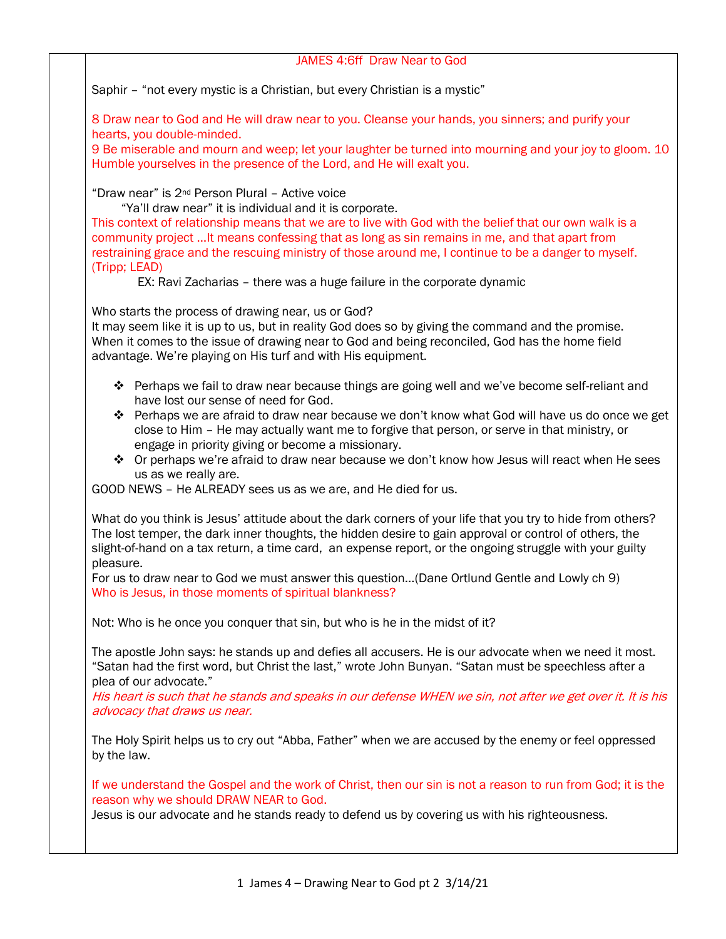#### JAMES 4:6ff Draw Near to God

Saphir – "not every mystic is a Christian, but every Christian is a mystic"

8 Draw near to God and He will draw near to you. Cleanse your hands, you sinners; and purify your hearts, you double-minded.

9 Be miserable and mourn and weep; let your laughter be turned into mourning and your joy to gloom. 10 Humble yourselves in the presence of the Lord, and He will exalt you.

## "Draw near" is 2nd Person Plural – Active voice

"Ya'll draw near" it is individual and it is corporate.

This context of relationship means that we are to live with God with the belief that our own walk is a community project …It means confessing that as long as sin remains in me, and that apart from restraining grace and the rescuing ministry of those around me, I continue to be a danger to myself. (Tripp; LEAD)

EX: Ravi Zacharias – there was a huge failure in the corporate dynamic

Who starts the process of drawing near, us or God?

It may seem like it is up to us, but in reality God does so by giving the command and the promise. When it comes to the issue of drawing near to God and being reconciled, God has the home field advantage. We're playing on His turf and with His equipment.

- $\div$  Perhaps we fail to draw near because things are going well and we've become self-reliant and have lost our sense of need for God.
- $\div$  Perhaps we are afraid to draw near because we don't know what God will have us do once we get close to Him – He may actually want me to forgive that person, or serve in that ministry, or engage in priority giving or become a missionary.
- $\div$  Or perhaps we're afraid to draw near because we don't know how Jesus will react when He sees us as we really are.

GOOD NEWS – He ALREADY sees us as we are, and He died for us.

What do you think is Jesus' attitude about the dark corners of your life that you try to hide from others? The lost temper, the dark inner thoughts, the hidden desire to gain approval or control of others, the slight-of-hand on a tax return, a time card, an expense report, or the ongoing struggle with your guilty pleasure.

For us to draw near to God we must answer this question…(Dane Ortlund Gentle and Lowly ch 9) Who is Jesus, in those moments of spiritual blankness?

Not: Who is he once you conquer that sin, but who is he in the midst of it?

The apostle John says: he stands up and defies all accusers. He is our advocate when we need it most. "Satan had the first word, but Christ the last," wrote John Bunyan. "Satan must be speechless after a plea of our advocate."

His heart is such that he stands and speaks in our defense WHEN we sin, not after we get over it. It is his advocacy that draws us near.

The Holy Spirit helps us to cry out "Abba, Father" when we are accused by the enemy or feel oppressed by the law.

If we understand the Gospel and the work of Christ, then our sin is not a reason to run from God; it is the reason why we should DRAW NEAR to God.

Jesus is our advocate and he stands ready to defend us by covering us with his righteousness.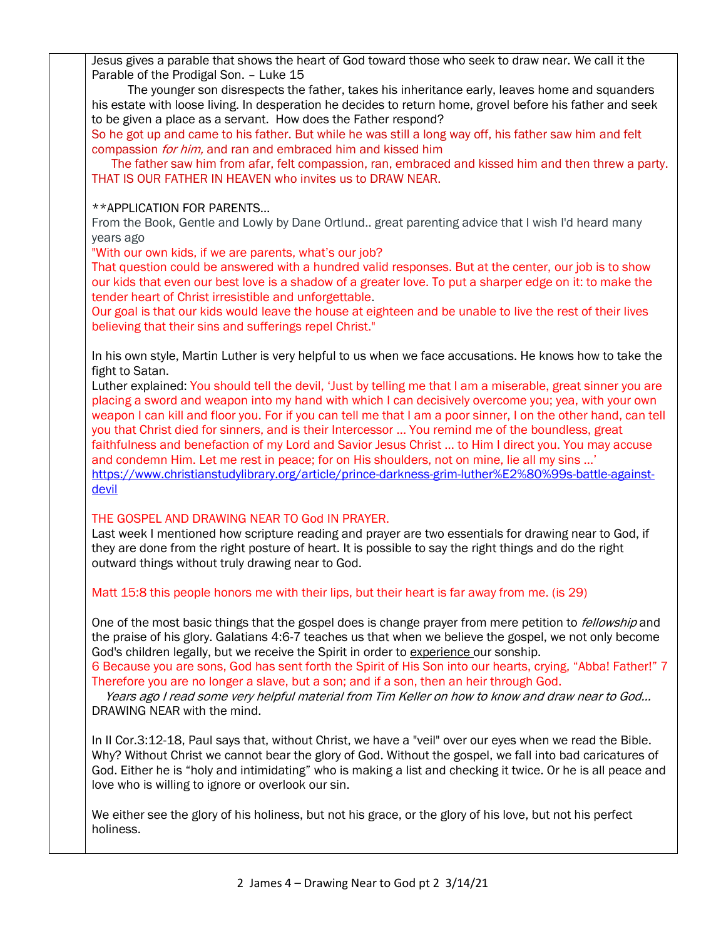Jesus gives a parable that shows the heart of God toward those who seek to draw near. We call it the Parable of the Prodigal Son. – Luke 15

 The younger son disrespects the father, takes his inheritance early, leaves home and squanders his estate with loose living. In desperation he decides to return home, grovel before his father and seek to be given a place as a servant. How does the Father respond?

So he got up and came to his father. But while he was still a long way off, his father saw him and felt compassion *for him*, and ran and embraced him and kissed him

 The father saw him from afar, felt compassion, ran, embraced and kissed him and then threw a party. THAT IS OUR FATHER IN HEAVEN who invites us to DRAW NEAR.

\*\*APPLICATION FOR PARENTS…

From the Book, Gentle and Lowly by Dane Ortlund.. great parenting advice that I wish I'd heard many years ago

"With our own kids, if we are parents, what's our job?

That question could be answered with a hundred valid responses. But at the center, our job is to show our kids that even our best love is a shadow of a greater love. To put a sharper edge on it: to make the tender heart of Christ irresistible and unforgettable.

Our goal is that our kids would leave the house at eighteen and be unable to live the rest of their lives believing that their sins and sufferings repel Christ."

In his own style, Martin Luther is very helpful to us when we face accusations. He knows how to take the fight to Satan.

Luther explained: You should tell the devil, 'Just by telling me that I am a miserable, great sinner you are placing a sword and weapon into my hand with which I can decisively overcome you; yea, with your own weapon I can kill and floor you. For if you can tell me that I am a poor sinner, I on the other hand, can tell you that Christ died for sinners, and is their Intercessor … You remind me of the boundless, great faithfulness and benefaction of my Lord and Savior Jesus Christ … to Him I direct you. You may accuse and condemn Him. Let me rest in peace; for on His shoulders, not on mine, lie all my sins …' [https://www.christianstudylibrary.org/article/prince-darkness-grim-luther%E2%80%99s-battle-against](https://www.christianstudylibrary.org/article/prince-darkness-grim-luther%E2%80%99s-battle-against-devil)[devil](https://www.christianstudylibrary.org/article/prince-darkness-grim-luther%E2%80%99s-battle-against-devil)

# THE GOSPEL AND DRAWING NEAR TO God IN PRAYER.

Last week I mentioned how scripture reading and prayer are two essentials for drawing near to God, if they are done from the right posture of heart. It is possible to say the right things and do the right outward things without truly drawing near to God.

Matt 15:8 this people honors me with their lips, but their heart is far away from me. (is 29)

One of the most basic things that the gospel does is change prayer from mere petition to *fellowship* and the praise of his glory. Galatians 4:6-7 teaches us that when we believe the gospel, we not only become God's children legally, but we receive the Spirit in order to experience our sonship.

6 Because you are sons, God has sent forth the Spirit of His Son into our hearts, crying, "Abba! Father!" 7 Therefore you are no longer a slave, but a son; and if a son, then an heir through God.

 Years ago I read some very helpful material from Tim Keller on how to know and draw near to God… DRAWING NEAR with the mind.

In II Cor.3:12-18, Paul says that, without Christ, we have a "veil" over our eyes when we read the Bible. Why? Without Christ we cannot bear the glory of God. Without the gospel, we fall into bad caricatures of God. Either he is "holy and intimidating" who is making a list and checking it twice. Or he is all peace and love who is willing to ignore or overlook our sin.

We either see the glory of his holiness, but not his grace, or the glory of his love, but not his perfect holiness.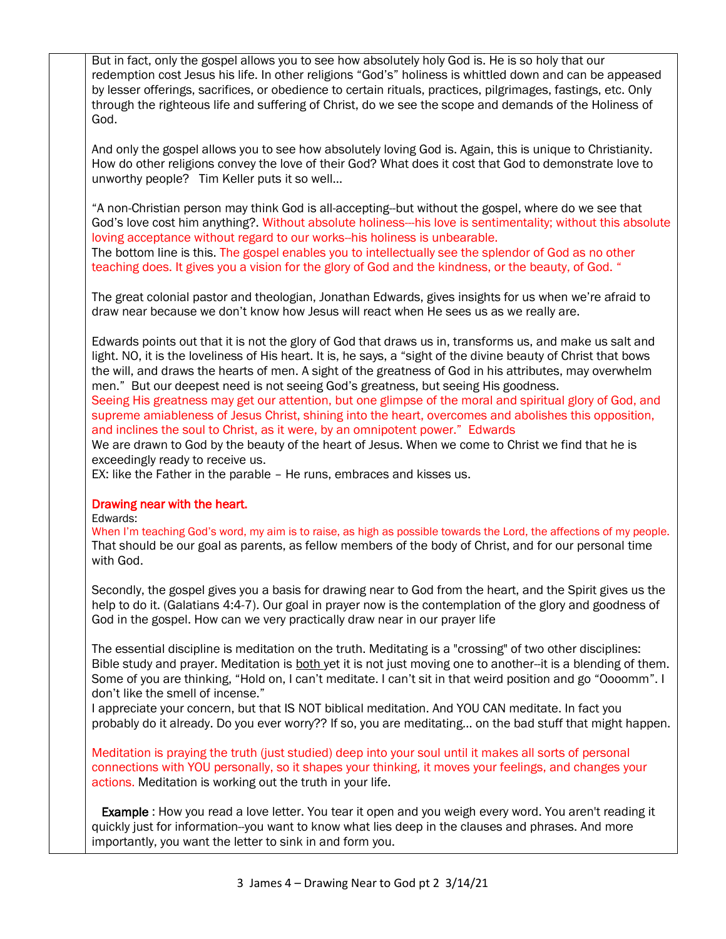But in fact, only the gospel allows you to see how absolutely holy God is. He is so holy that our redemption cost Jesus his life. In other religions "God's" holiness is whittled down and can be appeased by lesser offerings, sacrifices, or obedience to certain rituals, practices, pilgrimages, fastings, etc. Only through the righteous life and suffering of Christ, do we see the scope and demands of the Holiness of God.

And only the gospel allows you to see how absolutely loving God is. Again, this is unique to Christianity. How do other religions convey the love of their God? What does it cost that God to demonstrate love to unworthy people? Tim Keller puts it so well…

"A non-Christian person may think God is all-accepting--but without the gospel, where do we see that God's love cost him anything?. Without absolute holiness—his love is sentimentality; without this absolute loving acceptance without regard to our works--his holiness is unbearable. The bottom line is this. The gospel enables you to intellectually see the splendor of God as no other teaching does. It gives you a vision for the glory of God and the kindness, or the beauty, of God. "

The great colonial pastor and theologian, Jonathan Edwards, gives insights for us when we're afraid to draw near because we don't know how Jesus will react when He sees us as we really are.

Edwards points out that it is not the glory of God that draws us in, transforms us, and make us salt and light. NO, it is the loveliness of His heart. It is, he says, a "sight of the divine beauty of Christ that bows the will, and draws the hearts of men. A sight of the greatness of God in his attributes, may overwhelm men." But our deepest need is not seeing God's greatness, but seeing His goodness.

Seeing His greatness may get our attention, but one glimpse of the moral and spiritual glory of God, and supreme amiableness of Jesus Christ, shining into the heart, overcomes and abolishes this opposition, and inclines the soul to Christ, as it were, by an omnipotent power." Edwards

We are drawn to God by the beauty of the heart of Jesus. When we come to Christ we find that he is exceedingly ready to receive us.

EX: like the Father in the parable – He runs, embraces and kisses us.

### Drawing near with the heart.

Edwards:

When I'm teaching God's word, my aim is to raise, as high as possible towards the Lord, the affections of my people. That should be our goal as parents, as fellow members of the body of Christ, and for our personal time with God.

Secondly, the gospel gives you a basis for drawing near to God from the heart, and the Spirit gives us the help to do it. (Galatians 4:4-7). Our goal in prayer now is the contemplation of the glory and goodness of God in the gospel. How can we very practically draw near in our prayer life

The essential discipline is meditation on the truth. Meditating is a "crossing" of two other disciplines: Bible study and prayer. Meditation is both yet it is not just moving one to another--it is a blending of them. Some of you are thinking, "Hold on, I can't meditate. I can't sit in that weird position and go "Oooomm". I don't like the smell of incense."

I appreciate your concern, but that IS NOT biblical meditation. And YOU CAN meditate. In fact you probably do it already. Do you ever worry?? If so, you are meditating… on the bad stuff that might happen.

Meditation is praying the truth (just studied) deep into your soul until it makes all sorts of personal connections with YOU personally, so it shapes your thinking, it moves your feelings, and changes your actions. Meditation is working out the truth in your life.

 Example : How you read a love letter. You tear it open and you weigh every word. You aren't reading it quickly just for information--you want to know what lies deep in the clauses and phrases. And more importantly, you want the letter to sink in and form you.